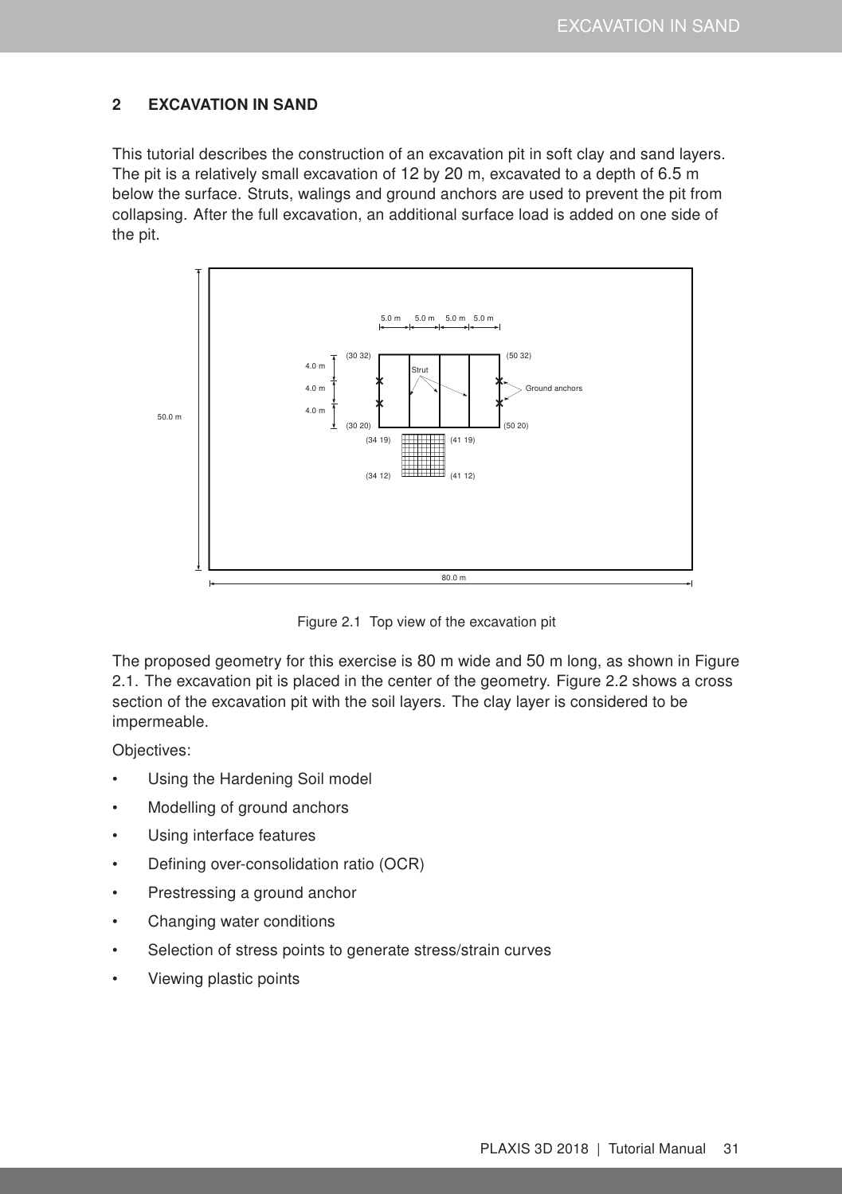# <span id="page-0-1"></span>2 EXCAVATION IN SAND

This tutorial describes the construction of an excavation pit in soft clay and sand layers. The pit is a relatively small excavation of 12 by 20 m, excavated to a depth of 6.5 m below the surface. Struts, walings and ground anchors are used to prevent the pit from collapsing. After the full excavation, an additional surface load is added on one side of the pit.



<span id="page-0-0"></span>Figure 2.1 Top view of the excavation pit

The proposed geometry for this exercise is 80 m wide and 50 m long, as shown in Figure [2.1.](#page-0-0) The excavation pit is placed in the center of the geometry. Figure [2.2](#page-1-0) shows a cross section of the excavation pit with the soil layers. The clay layer is considered to be impermeable.

Objectives:

- Using the Hardening Soil model
- Modelling of ground anchors
- Using interface features
- Defining over-consolidation ratio (OCR)
- Prestressing a ground anchor
- Changing water conditions
- Selection of stress points to generate stress/strain curves
- Viewing plastic points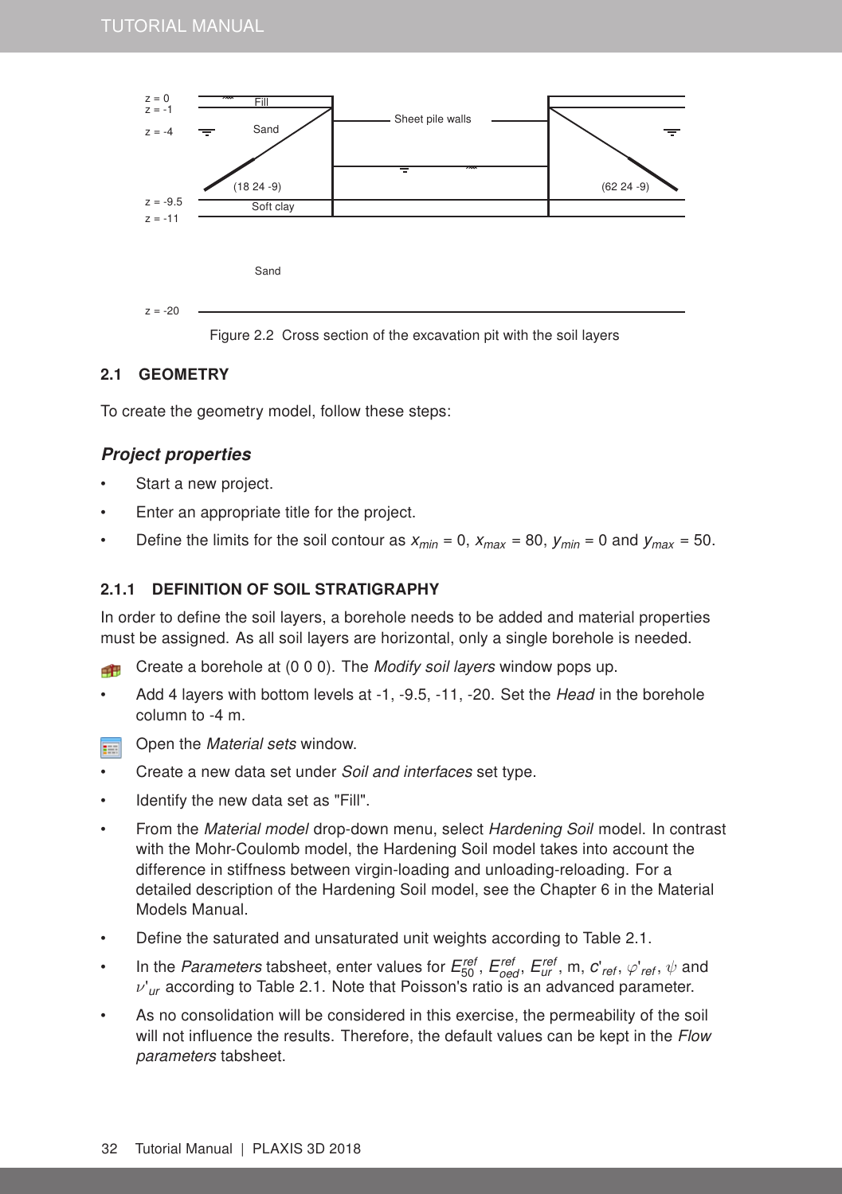

# <span id="page-1-0"></span>2.1 GEOMETRY

To create the geometry model, follow these steps:

### Project properties

- Start a new project.
- Enter an appropriate title for the project.
- Define the limits for the soil contour as  $x_{min} = 0$ ,  $x_{max} = 80$ ,  $y_{min} = 0$  and  $y_{max} = 50$ .

#### 2.1.1 DEFINITION OF SOIL STRATIGRAPHY

In order to define the soil layers, a borehole needs to be added and material properties must be assigned. As all soil layers are horizontal, only a single borehole is needed.

Create a borehole at (0 0 0). The Modify soil layers window pops up. Æ

- Add 4 layers with bottom levels at -1, -9.5, -11, -20. Set the Head in the borehole column to -4 m.
- Open the Material sets window. 雨
- Create a new data set under Soil and interfaces set type.
- Identify the new data set as "Fill".
- From the *Material model* drop-down menu, select Hardening Soil model. In contrast with the Mohr-Coulomb model, the Hardening Soil model takes into account the difference in stiffness between virgin-loading and unloading-reloading. For a detailed description of the Hardening Soil model, see the Chapter [6](#page--1-0) in the [Material](#page-0-1) [Models Manual.](#page-0-1)
- Define the saturated and unsaturated unit weights according to Table [2.1.](#page-2-0)
- In the *Parameters* tabsheet, enter values for  $E_{50}^{ref}$  ,  $E_{oed}^{ref}$  ,  $E_{ur}^{ref}$  , m,  $c'_{ref}$  ,  $\varphi'_{ref}$  ,  $\psi$  and ν'*ur* according to Table [2.1.](#page-2-0) Note that Poisson's ratio is an advanced parameter.
- As no consolidation will be considered in this exercise, the permeability of the soil will not influence the results. Therefore, the default values can be kept in the Flow parameters tabsheet.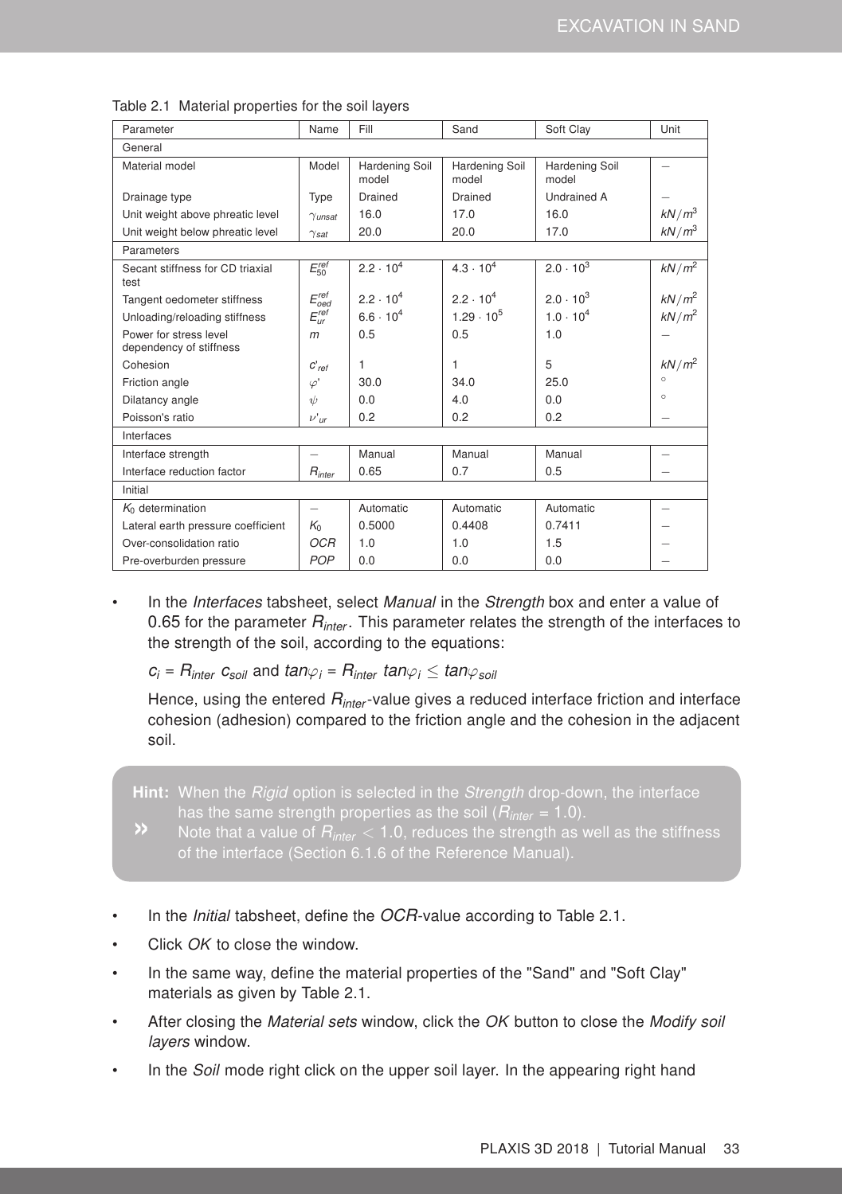| Parameter                                         | Name                      | Fill                    | Sand                    | Soft Clay               | Unit                     |
|---------------------------------------------------|---------------------------|-------------------------|-------------------------|-------------------------|--------------------------|
| General                                           |                           |                         |                         |                         |                          |
| Material model                                    | Model                     | Hardening Soil<br>model | Hardening Soil<br>model | Hardening Soil<br>model | $\overline{\phantom{0}}$ |
| Drainage type                                     | Type                      | Drained                 | Drained                 | <b>Undrained A</b>      |                          |
| Unit weight above phreatic level                  | $\gamma$ <sub>unsat</sub> | 16.0                    | 17.0                    | 16.0                    | kN/m <sup>3</sup>        |
| Unit weight below phreatic level                  | $\gamma_{\textit{sat}}$   | 20.0                    | 20.0                    | 17.0                    | $kN/m^3$                 |
| Parameters                                        |                           |                         |                         |                         |                          |
| Secant stiffness for CD triaxial<br>test          | $E_{50}^{ref}$            | $2.2 \cdot 10^{4}$      | $4.3 \cdot 10^{4}$      | $2.0 \cdot 10^{3}$      | $kN/m^2$                 |
| Tangent oedometer stiffness                       | $E_{oed}^{ref}$           | $2.2 \cdot 10^{4}$      | $2.2 \cdot 10^{4}$      | $2.0 \cdot 10^{3}$      | $kN/m^2$                 |
| Unloading/reloading stiffness                     | $E_{ur}^{ref}$            | $6.6 \cdot 10^{4}$      | $1.29 \cdot 10^5$       | $1.0 \cdot 10^{4}$      | $kN/m^2$                 |
| Power for stress level<br>dependency of stiffness | m                         | 0.5                     | 0.5                     | 1.0                     |                          |
| Cohesion                                          | $C'_{ref}$                | 1                       | 1                       | 5                       | $kN/m^2$                 |
| Friction angle                                    | $\varphi'$                | 30.0                    | 34.0                    | 25.0                    | $\circ$                  |
| Dilatancy angle                                   | $\psi$                    | 0.0                     | 4.0                     | 0.0                     | $\circ$                  |
| Poisson's ratio                                   | $\nu'$ ur                 | 0.2                     | 0.2                     | 0.2                     |                          |
| Interfaces                                        |                           |                         |                         |                         |                          |
| Interface strength                                | $\overline{\phantom{0}}$  | Manual                  | Manual                  | Manual                  |                          |
| Interface reduction factor                        | $R_{inter}$               | 0.65                    | 0.7                     | 0.5                     |                          |
| Initial                                           |                           |                         |                         |                         |                          |
| $K_0$ determination                               | $\overline{\phantom{0}}$  | Automatic               | Automatic               | Automatic               | $\overline{\phantom{0}}$ |
| Lateral earth pressure coefficient                | K <sub>0</sub>            | 0.5000                  | 0.4408                  | 0.7411                  |                          |
| Over-consolidation ratio                          | <b>OCR</b>                | 1.0                     | 1.0                     | 1.5                     |                          |
| Pre-overburden pressure                           | POP                       | 0.0                     | 0.0                     | 0.0                     |                          |

<span id="page-2-0"></span>Table 2.1 Material properties for the soil layers

In the Interfaces tabsheet, select Manual in the Strength box and enter a value of 0.65 for the parameter *Rinter* . This parameter relates the strength of the interfaces to the strength of the soil, according to the equations:

 $c_i = R_{inter} c_{soli}$  and  $tan\varphi_i = R_{inter} tan\varphi_i \leq tan\varphi_{soli}$ 

Hence, using the entered *Rinter* -value gives a reduced interface friction and interface cohesion (adhesion) compared to the friction angle and the cohesion in the adjacent soil.

Hint: When the Rigid option is selected in the Strength drop-down, the interface has the same strength properties as the soil (*Rinter* = 1.0).

- 
- In the Initial tabsheet, define the *OCR*-value according to Table [2.1.](#page-2-0)
- Click OK to close the window.
- In the same way, define the material properties of the "Sand" and "Soft Clay" materials as given by Table [2.1.](#page-2-0)
- After closing the Material sets window, click the OK button to close the Modify soil layers window.
- In the *Soil* mode right click on the upper soil layer. In the appearing right hand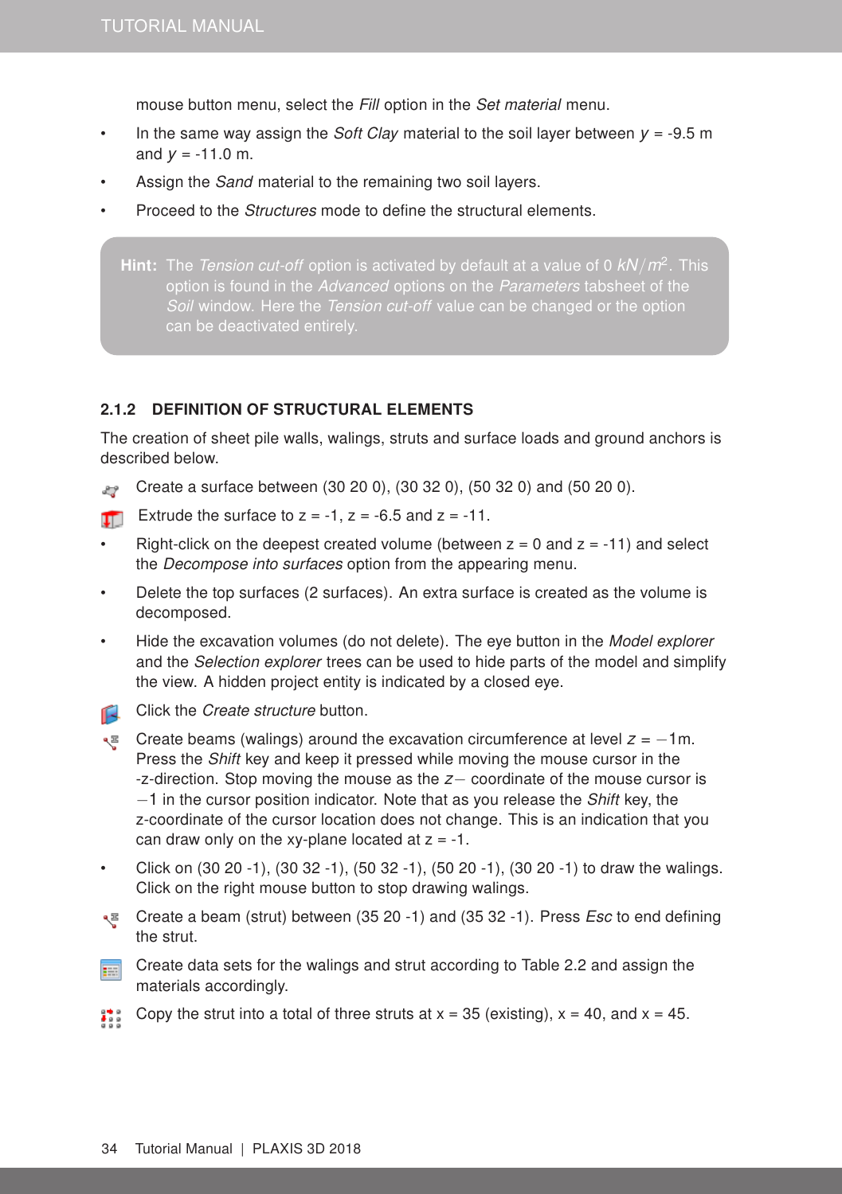mouse button menu, select the Fill option in the Set material menu.

- In the same way assign the *Soft Clay* material to the soil layer between  $y = -9.5$  m and  $y = -11.0$  m.
- Assign the *Sand* material to the remaining two soil layers.
- Proceed to the Structures mode to define the structural elements.

Hint: The Tension cut-off option is activated by default at a value of 0 *kN*/*m*<sup>2</sup> . This Soil window. Here the Tension cut-off value can be changed or the option

#### 2.1.2 DEFINITION OF STRUCTURAL ELEMENTS

The creation of sheet pile walls, walings, struts and surface loads and ground anchors is described below.

- Create a surface between (30 20 0), (30 32 0), (50 32 0) and (50 20 0).
- Extrude the surface to  $z = -1$ ,  $z = -6.5$  and  $z = -11$ .
- Right-click on the deepest created volume (between  $z = 0$  and  $z = -11$ ) and select the Decompose into surfaces option from the appearing menu.
- Delete the top surfaces (2 surfaces). An extra surface is created as the volume is decomposed.
- Hide the excavation volumes (do not delete). The eye button in the Model explorer and the Selection explorer trees can be used to hide parts of the model and simplify the view. A hidden project entity is indicated by a closed eye.
- Click the Create structure button.
- Create beams (walings) around the excavation circumference at level *z* = −1m. Press the Shift key and keep it pressed while moving the mouse cursor in the -z-direction. Stop moving the mouse as the *z*− coordinate of the mouse cursor is  $-1$  in the cursor position indicator. Note that as you release the *Shift* key, the z-coordinate of the cursor location does not change. This is an indication that you can draw only on the xy-plane located at  $z = -1$ .
- Click on (30 20 -1), (30 32 -1), (50 32 -1), (50 20 -1), (30 20 -1) to draw the walings. Click on the right mouse button to stop drawing walings.
- Create a beam (strut) between (35 20 -1) and (35 32 -1). Press *Esc* to end defining the strut.
- Create data sets for the walings and strut according to Table [2.2](#page-4-0) and assign the **FEET** materials accordingly.
- Copy the strut into a total of three struts at  $x = 35$  (existing),  $x = 40$ , and  $x = 45$ .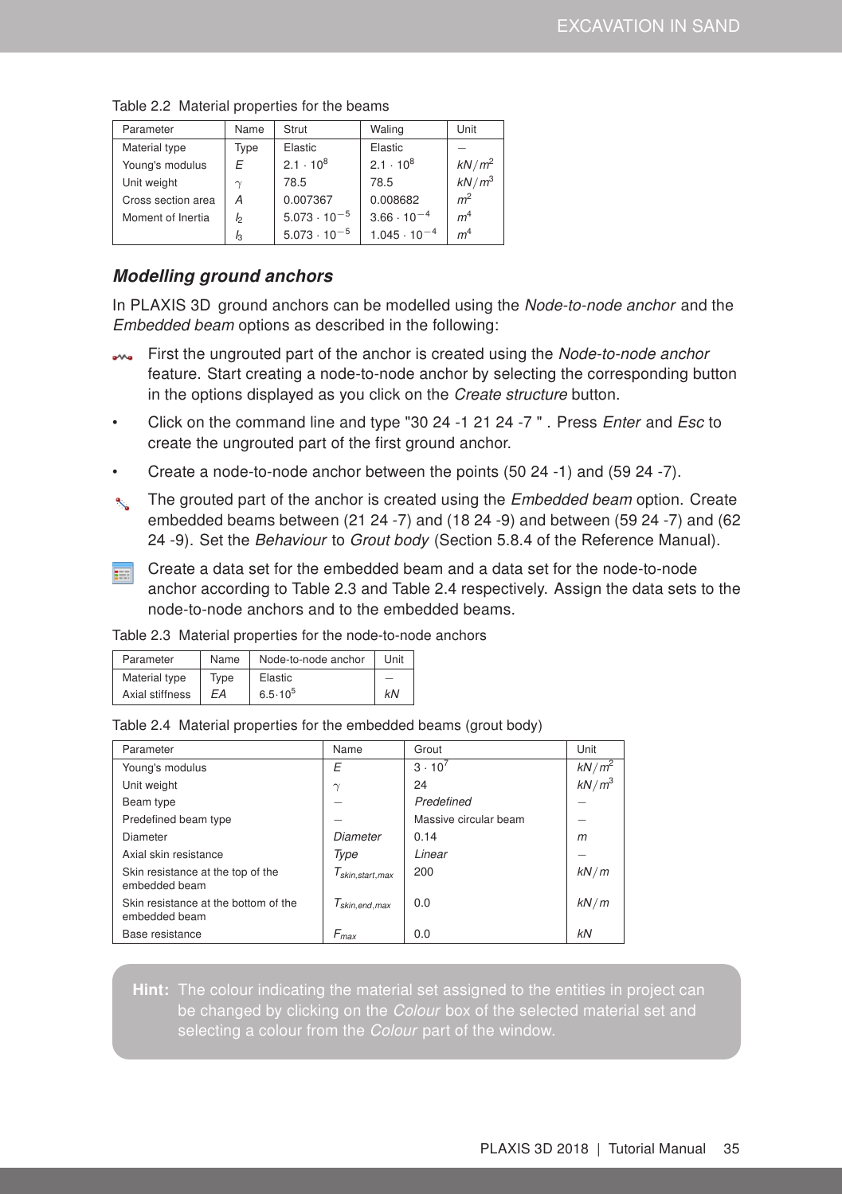| Parameter          | Name           | Strut                 | Waling                | Unit           |
|--------------------|----------------|-----------------------|-----------------------|----------------|
| Material type      | Type           | Elastic               | Elastic               |                |
| Young's modulus    | E              | $2.1 \cdot 10^{8}$    | $2.1 \cdot 10^{8}$    | $kN/m^2$       |
| Unit weight        | $\gamma$       | 78.5                  | 78.5                  | $kN/m^3$       |
| Cross section area | А              | 0.007367              | 0.008682              | m <sup>2</sup> |
| Moment of Inertia  | I <sub>2</sub> | $5.073 \cdot 10^{-5}$ | $3.66 \cdot 10^{-4}$  | m <sup>4</sup> |
|                    | $I_3$          | $5.073 \cdot 10^{-5}$ | $1.045 \cdot 10^{-4}$ | m <sup>4</sup> |

<span id="page-4-0"></span>Table 2.2 Material properties for the beams

# Modelling ground anchors

In PLAXIS 3D ground anchors can be modelled using the Node-to-node anchor and the Embedded beam options as described in the following:

- First the ungrouted part of the anchor is created using the Node-to-node anchor feature. Start creating a node-to-node anchor by selecting the corresponding button in the options displayed as you click on the Create structure button.
- Click on the command line and type "30 24 -1 21 24 -7 ". Press *Enter* and *Esc* to create the ungrouted part of the first ground anchor.
- Create a node-to-node anchor between the points (50 24 -1) and (59 24 -7).
- $\mathcal{R}_s$  The grouted part of the anchor is created using the *Embedded beam* option. Create embedded beams between (21 24 -7) and (18 24 -9) and between (59 24 -7) and (62 24 -9). Set the Behaviour to Grout body (Section 5.8.4 of the [Reference Manual\)](#page-0-1).
- Create a data set for the embedded beam and a data set for the node-to-node 雨 anchor according to Table [2.3](#page-4-1) and Table [2.4](#page-4-2) respectively. Assign the data sets to the node-to-node anchors and to the embedded beams.

| Parameter       | Name | Node-to-node anchor | Unit |
|-----------------|------|---------------------|------|
| Material type   | Tvpe | Elastic             |      |
| Axial stiffness | FA   | $6.5 \cdot 10^{5}$  | kN   |

<span id="page-4-1"></span>Table 2.3 Material properties for the node-to-node anchors

<span id="page-4-2"></span>

| Table 2.4 Material properties for the embedded beams (grout body) |  |
|-------------------------------------------------------------------|--|
|                                                                   |  |

| Parameter                                             | Name                 | Grout                 | Unit     |
|-------------------------------------------------------|----------------------|-----------------------|----------|
| Young's modulus                                       | E                    | $3 \cdot 10^{7}$      | $kN/m^2$ |
| Unit weight                                           | $\gamma$             | 24                    | $kN/m^3$ |
| Beam type                                             |                      | Predefined            |          |
| Predefined beam type                                  |                      | Massive circular beam |          |
| Diameter                                              | Diameter             | 0.14                  | m        |
| Axial skin resistance                                 | Type                 | Linear                |          |
| Skin resistance at the top of the<br>embedded beam    | $T_{skin,start,max}$ | 200                   | kN/m     |
| Skin resistance at the bottom of the<br>embedded beam | $T_{skin,end,max}$   | 0.0                   | kN/m     |
| Base resistance                                       | $F_{max}$            | 0.0                   | kN       |

Hint: The colour indicating the material set assigned to the entities in project can be changed by clicking on the Colour box of the selected material set and selecting a colour from the *Colour* part of the window.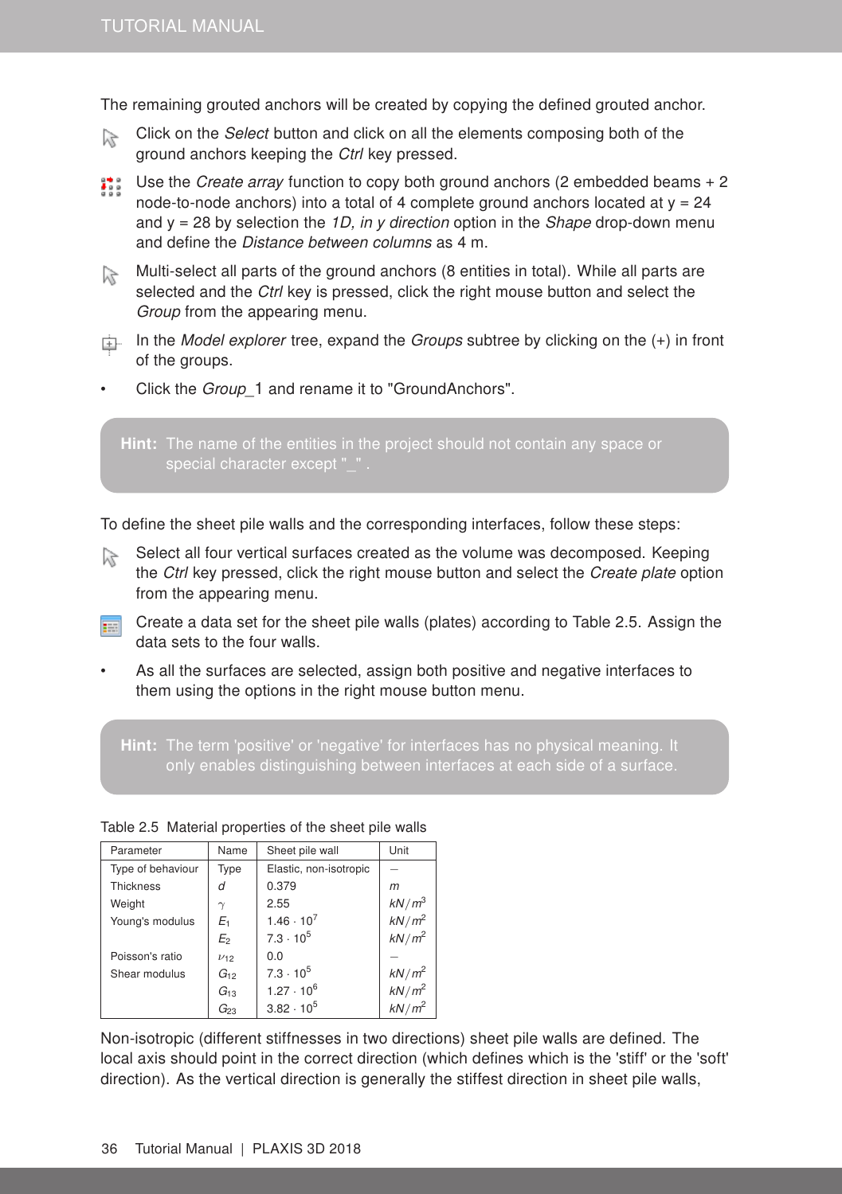The remaining grouted anchors will be created by copying the defined grouted anchor.

- Click on the Select button and click on all the elements composing both of the  $\widetilde{\mathcal{M}}$ ground anchors keeping the Ctrl key pressed.
- **Use the Create array function to copy both ground anchors (2 embedded beams + 2** node-to-node anchors) into a total of 4 complete ground anchors located at  $y = 24$ and  $y = 28$  by selection the 1D, in y direction option in the Shape drop-down menu and define the Distance between columns as 4 m.
- Multi-select all parts of the ground anchors (8 entities in total). While all parts are selected and the Ctrl key is pressed, click the right mouse button and select the Group from the appearing menu.
- In the Model explorer tree, expand the Groups subtree by clicking on the  $(+)$  in front of the groups.
- Click the *Group* 1 and rename it to "GroundAnchors".

special character except "...

To define the sheet pile walls and the corresponding interfaces, follow these steps:

- Select all four vertical surfaces created as the volume was decomposed. Keeping  $\approx$ the Ctrl key pressed, click the right mouse button and select the Create plate option from the appearing menu.
- Create a data set for the sheet pile walls (plates) according to Table [2.5.](#page-5-0) Assign the 事 data sets to the four walls.
- As all the surfaces are selected, assign both positive and negative interfaces to them using the options in the right mouse button menu.

Hint: The term 'positive' or 'negative' for interfaces has no physical meaning. It only enables distinguishing between interfaces at each side of a surface.

| Parameter         | Name       | Sheet pile wall        | Unit                 |
|-------------------|------------|------------------------|----------------------|
| Type of behaviour | Type       | Elastic, non-isotropic |                      |
| <b>Thickness</b>  | d          | 0.379                  | m                    |
| Weight            | $\gamma$   | 2.55                   | $kN/m^3$             |
| Young's modulus   | E1         | $1.46 \cdot 10^{7}$    | $kN/m^2$             |
|                   | E2         | $7.3 \cdot 10^5$       | $kN/m^2$             |
| Poisson's ratio   | $\nu_{12}$ | 0.0                    |                      |
| Shear modulus     | $G_{12}$   | $7.3 \cdot 10^5$       | $kN/m^2$<br>$kN/m^2$ |
|                   | $G_{13}$   | $1.27 \cdot 10^{6}$    |                      |
|                   | $G_{23}$   | $3.82 \cdot 10^{5}$    | $kN/m^2$             |

<span id="page-5-0"></span>Table 2.5 Material properties of the sheet pile walls

Non-isotropic (different stiffnesses in two directions) sheet pile walls are defined. The local axis should point in the correct direction (which defines which is the 'stiff' or the 'soft' direction). As the vertical direction is generally the stiffest direction in sheet pile walls,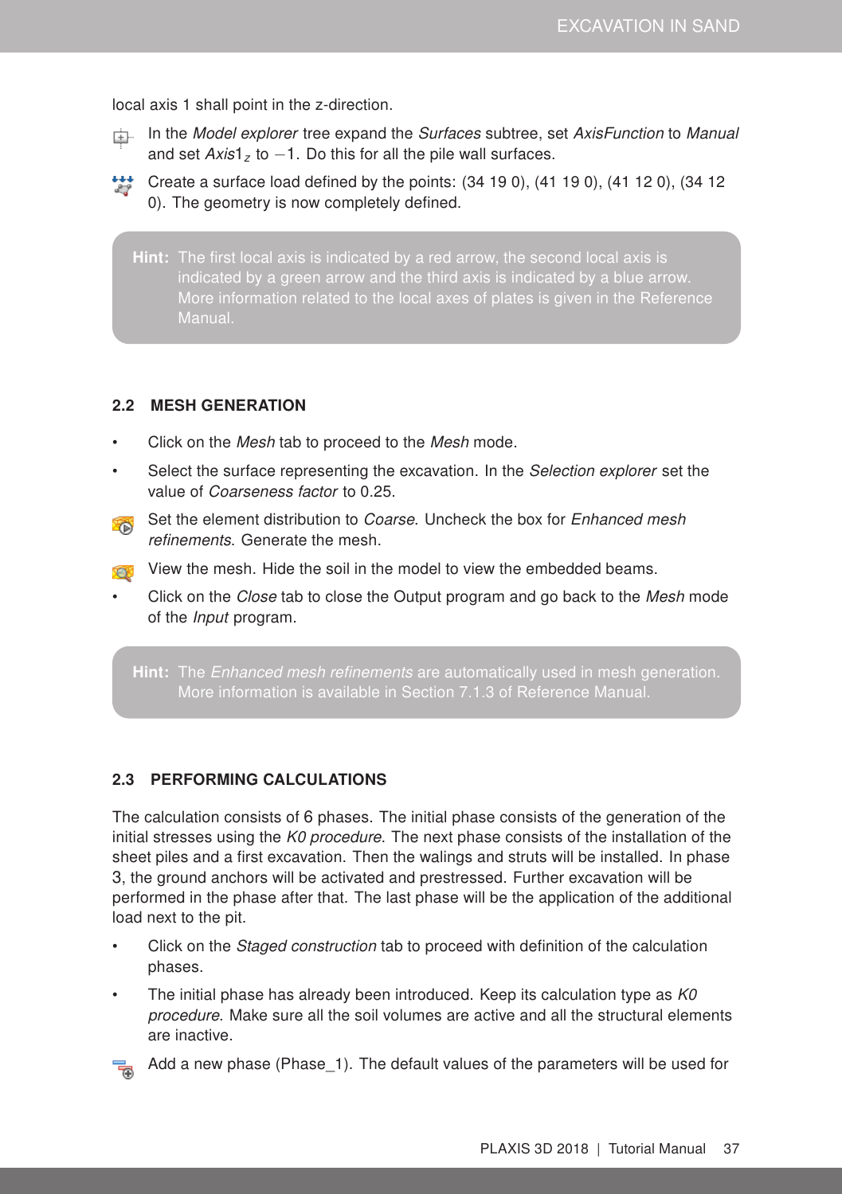local axis 1 shall point in the z-direction.

- In the Model explorer tree expand the Surfaces subtree, set AxisFunction to Manual and set Axis1<sub>z</sub> to −1. Do this for all the pile wall surfaces.
- Create a surface load defined by the points:  $(34 19 0)$ ,  $(41 19 0)$ ,  $(41 12 0)$ ,  $(34 12 12)$ 0). The geometry is now completely defined.
	- Hint: The first local axis is indicated by a red arrow, the second local axis is More information related to the local axes of plates is given in the [Reference](#page-0-1) [Manual.](#page-0-1)

### 2.2 MESH GENERATION

- Click on the Mesh tab to proceed to the Mesh mode.
- Select the surface representing the excavation. In the Selection explorer set the value of Coarseness factor to 0.25.
- Set the element distribution to *Coarse*. Uncheck the box for *Enhanced mesh* refinements. Generate the mesh.
- View the mesh. Hide the soil in the model to view the embedded beams.
- Click on the *Close* tab to close the Output program and go back to the *Mesh* mode of the Input program.

Hint: The *Enhanced mesh refinements* are automatically used in mesh generation. More information is available in Section 7.1.3 of [Reference Manual.](#page-0-1)

#### 2.3 PERFORMING CALCULATIONS

The calculation consists of 6 phases. The initial phase consists of the generation of the initial stresses using the K0 procedure. The next phase consists of the installation of the sheet piles and a first excavation. Then the walings and struts will be installed. In phase 3, the ground anchors will be activated and prestressed. Further excavation will be performed in the phase after that. The last phase will be the application of the additional load next to the pit.

- Click on the *Staged construction* tab to proceed with definition of the calculation phases.
- The initial phase has already been introduced. Keep its calculation type as  $K0$ procedure. Make sure all the soil volumes are active and all the structural elements are inactive.



Add a new phase (Phase\_1). The default values of the parameters will be used for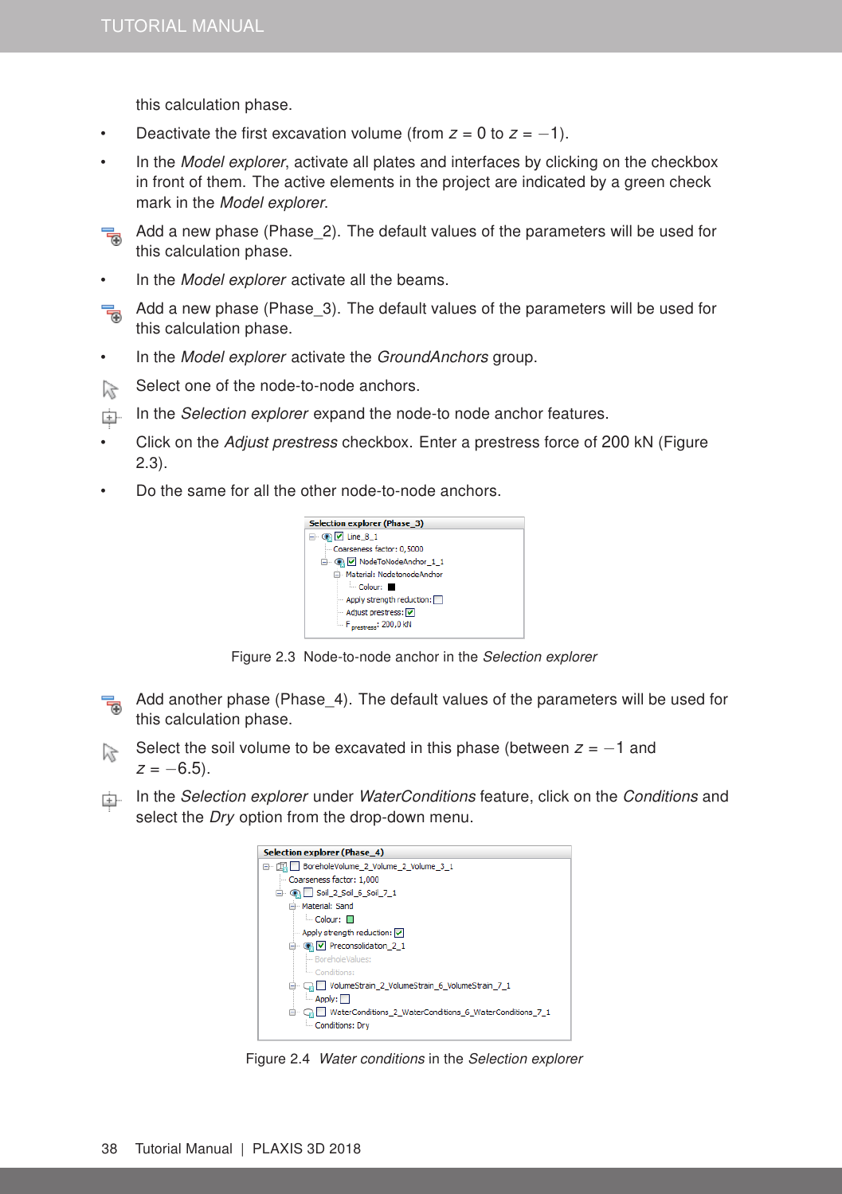this calculation phase.

- Deactivate the first excavation volume (from  $z = 0$  to  $z = -1$ ).
- In the Model explorer, activate all plates and interfaces by clicking on the checkbox in front of them. The active elements in the project are indicated by a green check mark in the Model explorer.



Add a new phase (Phase\_2). The default values of the parameters will be used for this calculation phase.

• In the Model explorer activate all the beams.

Add a new phase (Phase\_3). The default values of the parameters will be used for T this calculation phase.

- In the Model explorer activate the GroundAnchors group.
- Select one of the node-to-node anchors. F
- In the Selection explorer expand the node-to node anchor features.
- Click on the Adjust prestress checkbox. Enter a prestress force of 200 kN (Figure [2.3\)](#page-7-0).
- Do the same for all the other node-to-node anchors.

<span id="page-7-0"></span>

Figure 2.3 Node-to-node anchor in the Selection explorer

- Add another phase (Phase\_4). The default values of the parameters will be used for this calculation phase.
- Select the soil volume to be excavated in this phase (between *z* = −1 and  $z = -6.5$ ).
- In the Selection explorer under WaterConditions feature, click on the Conditions and select the *Dry* option from the drop-down menu.



Figure 2.4 Water conditions in the Selection explorer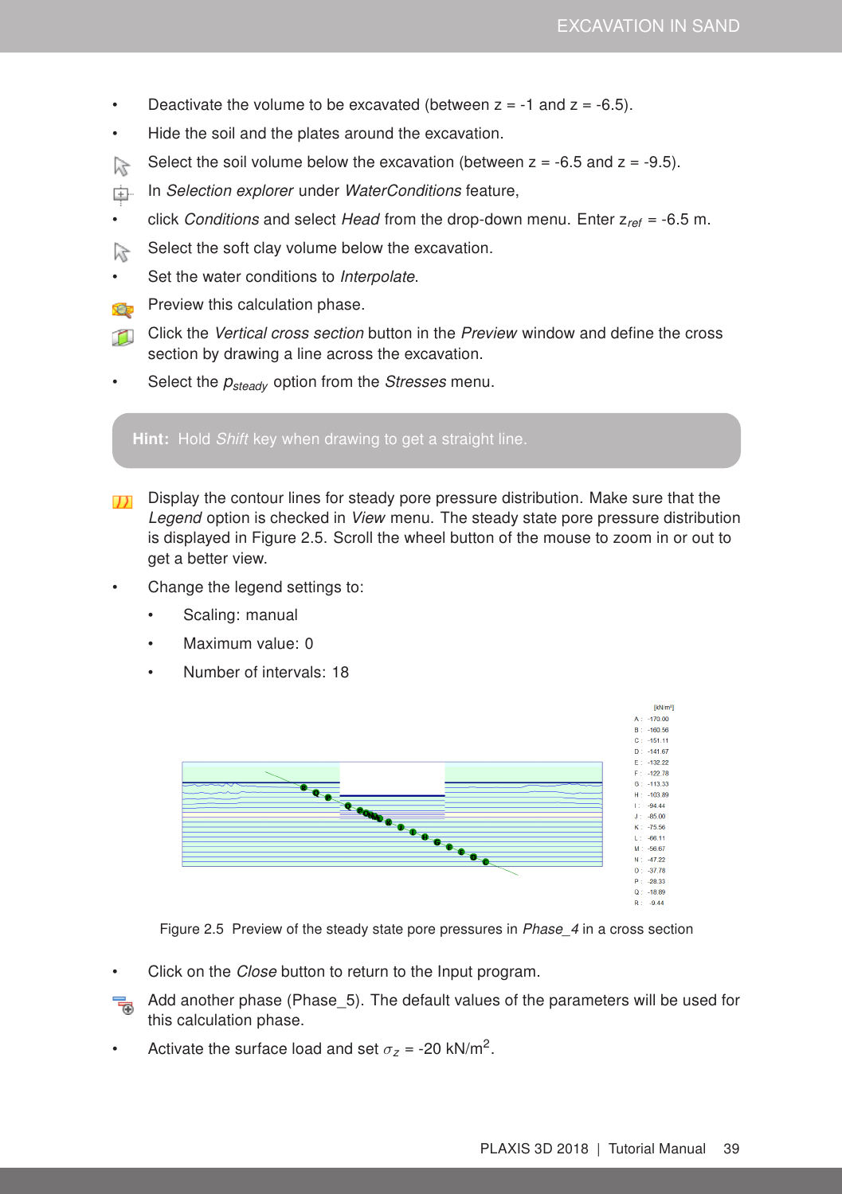- Deactivate the volume to be excavated (between  $z = -1$  and  $z = -6.5$ ).
- Hide the soil and the plates around the excavation.
- Select the soil volume below the excavation (between  $z = -6.5$  and  $z = -9.5$ ). 瓜
- In Selection explorer under WaterConditions feature, 車
- click Conditions and select Head from the drop-down menu. Enter z*ref* = -6.5 m.
- Select the soft clay volume below the excavation.  $\widetilde{\lambda}$
- Set the water conditions to Interpolate.
- Preview this calculation phase. X.
- $\mathbb{Z}$ Click the Vertical cross section button in the Preview window and define the cross section by drawing a line across the excavation.
- Select the  $p_{steady}$  option from the *Stresses* menu.

Hint: Hold Shift key when drawing to get a straight line.

- Display the contour lines for steady pore pressure distribution. Make sure that the Legend option is checked in View menu. The steady state pore pressure distribution is displayed in Figure [2.5.](#page-8-0) Scroll the wheel button of the mouse to zoom in or out to get a better view.
- Change the legend settings to:
	- Scaling: manual
	- Maximum value: 0
	- Number of intervals: 18



<span id="page-8-0"></span>Figure 2.5 Preview of the steady state pore pressures in Phase\_4 in a cross section

- Click on the *Close* button to return to the Input program.
- Add another phase (Phase\_5). The default values of the parameters will be used for 帚 this calculation phase.
- Activate the surface load and set  $\sigma_z$  = -20 kN/m<sup>2</sup>.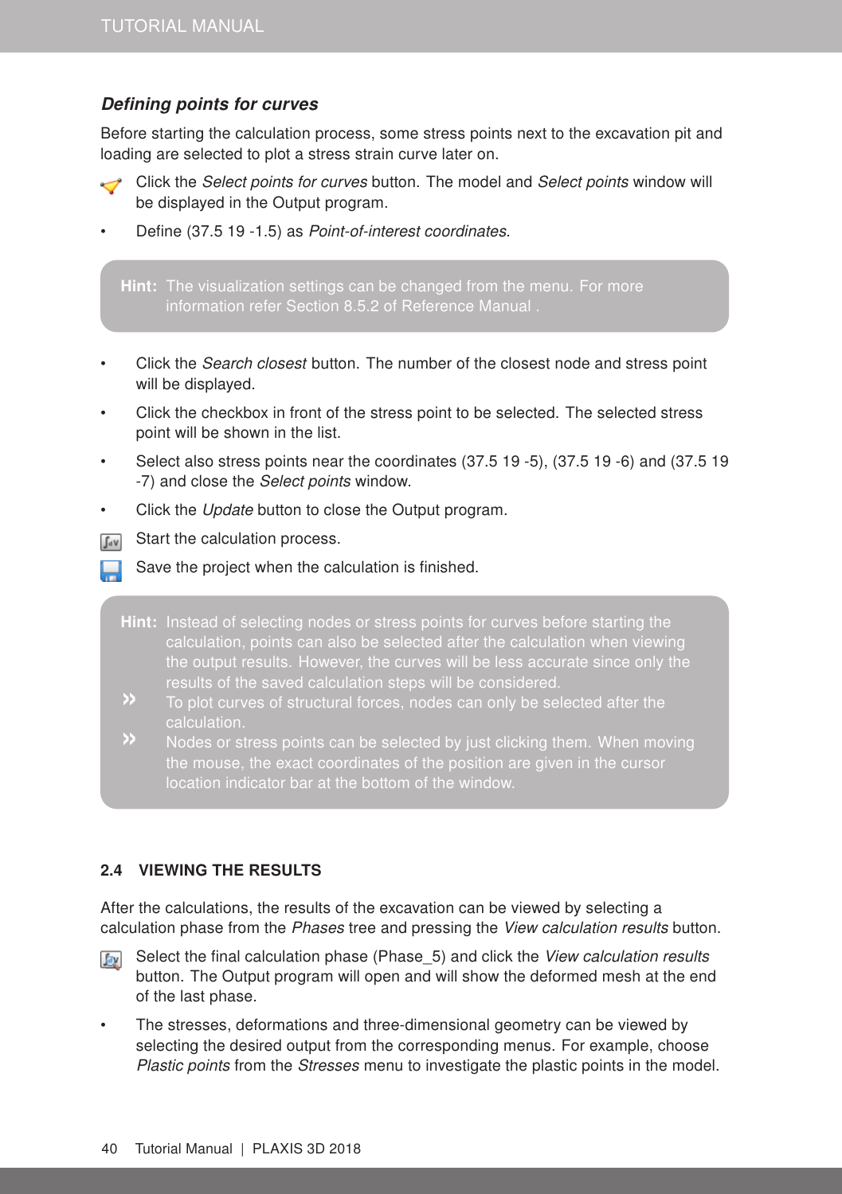# Defining points for curves

Before starting the calculation process, some stress points next to the excavation pit and loading are selected to plot a stress strain curve later on.

- Click the Select points for curves button. The model and Select points window will be displayed in the Output program.
- Define (37.5 19 -1.5) as Point-of-interest coordinates.

Hint: The visualization settings can be changed from the menu. For more information refer Section 8.5.2 of [Reference Manual](#page-0-1) .

- Click the Search closest button. The number of the closest node and stress point will be displayed.
- Click the checkbox in front of the stress point to be selected. The selected stress point will be shown in the list.
- Select also stress points near the coordinates (37.5 19 -5), (37.5 19 -6) and (37.5 19 -7) and close the Select points window.
- Click the Update button to close the Output program.
- Start the calculation process.  $\int dV$ 
	- Save the project when the calculation is finished.
	- Hint: Instead of selecting nodes or stress points for curves before starting the the output results. However, the curves will be less accurate since only the results of the saved calculation steps will be considered.
	- calculation.
	- » Nodes or stress points can be selected by just clicking them. When moving location indicator bar at the bottom of the window.

#### 2.4 VIEWING THE RESULTS

After the calculations, the results of the excavation can be viewed by selecting a calculation phase from the Phases tree and pressing the View calculation results button.

- Select the final calculation phase (Phase 5) and click the View calculation results **Jay** button. The Output program will open and will show the deformed mesh at the end of the last phase.
- The stresses, deformations and three-dimensional geometry can be viewed by selecting the desired output from the corresponding menus. For example, choose Plastic points from the Stresses menu to investigate the plastic points in the model.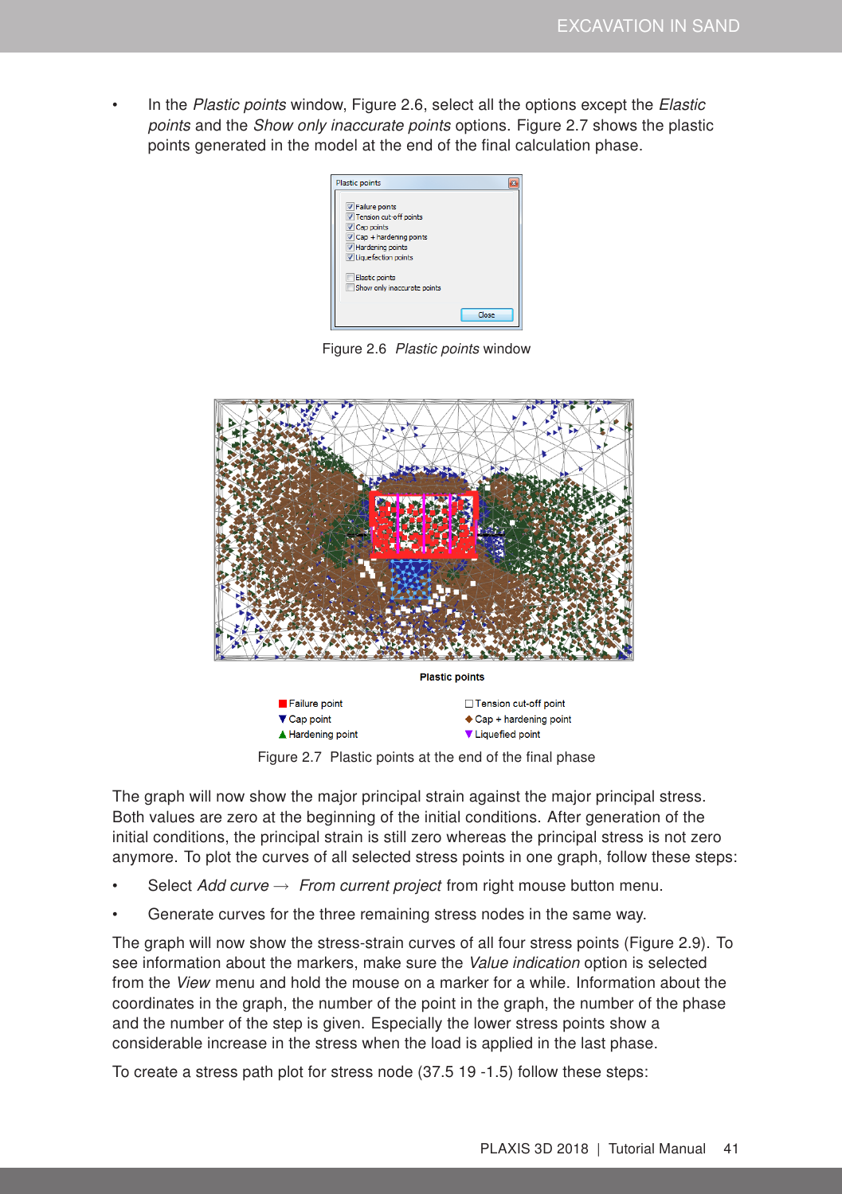In the Plastic points window, Figure [2.6,](#page-10-0) select all the options except the Elastic points and the *Show only inaccurate points* options. Figure [2.7](#page-10-1) shows the plastic points generated in the model at the end of the final calculation phase.

<span id="page-10-0"></span>

Figure 2.6 Plastic points window



<span id="page-10-1"></span>Figure 2.7 Plastic points at the end of the final phase

The graph will now show the major principal strain against the major principal stress. Both values are zero at the beginning of the initial conditions. After generation of the initial conditions, the principal strain is still zero whereas the principal stress is not zero anymore. To plot the curves of all selected stress points in one graph, follow these steps:

- Select Add curve  $\rightarrow$  From current project from right mouse button menu.
- Generate curves for the three remaining stress nodes in the same way.

The graph will now show the stress-strain curves of all four stress points (Figure [2.9\)](#page-11-0). To see information about the markers, make sure the Value indication option is selected from the View menu and hold the mouse on a marker for a while. Information about the coordinates in the graph, the number of the point in the graph, the number of the phase and the number of the step is given. Especially the lower stress points show a considerable increase in the stress when the load is applied in the last phase.

To create a stress path plot for stress node (37.5 19 -1.5) follow these steps: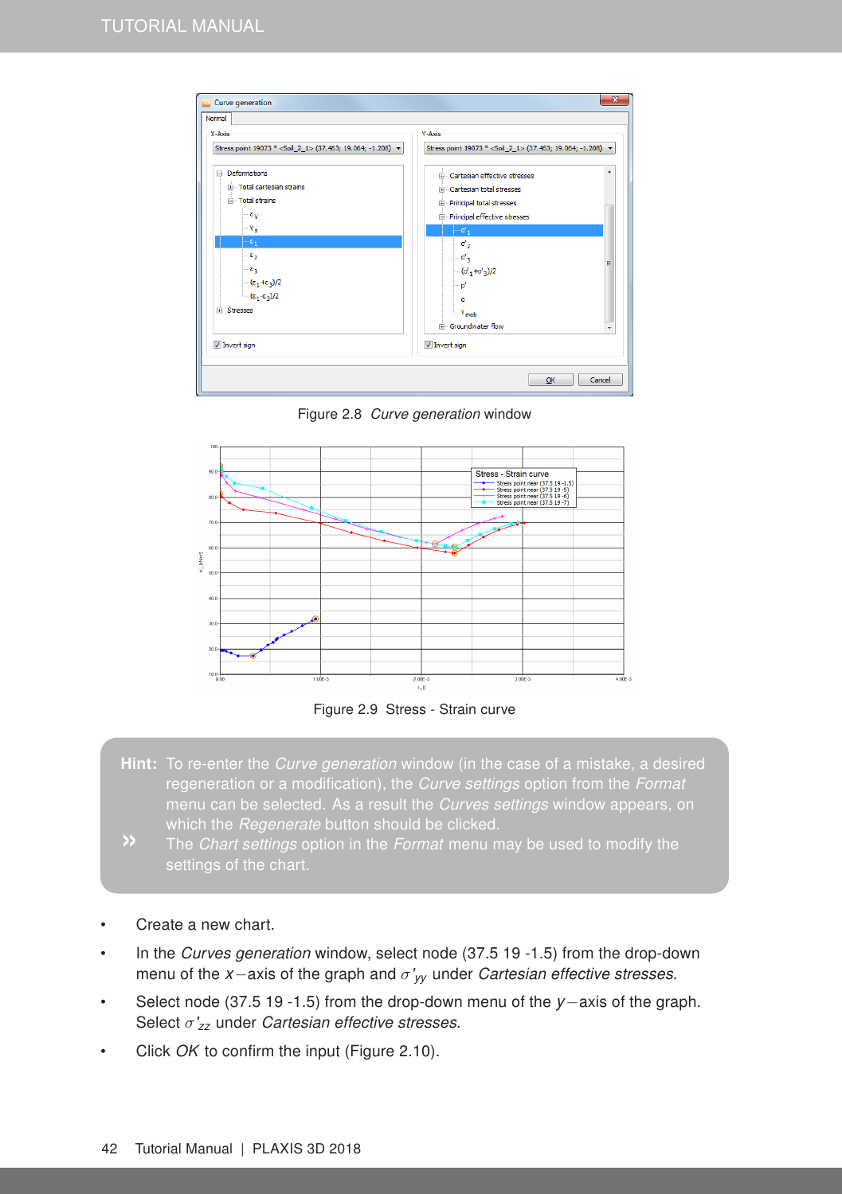

Figure 2.8 Curve generation window



<span id="page-11-0"></span>Figure 2.9 Stress - Strain curve

- Hint: To re-enter the Curve generation window (in the case of a mistake, a desired regeneration or a modification), the Curve settings option from the Format menu can be selected. As a result the Curves settings window appears, on which the Regenerate button should be clicked.
- 
- Create a new chart.
- In the Curves generation window, select node (37.5 19 -1.5) from the drop-down menu of the *x*−axis of the graph and σ'*yy* under Cartesian effective stresses.
- Select node (37.5 19 -1.5) from the drop-down menu of the *y*−axis of the graph. Select σ'*zz* under Cartesian effective stresses.
- Click OK to confirm the input (Figure [2.10\)](#page-12-0).